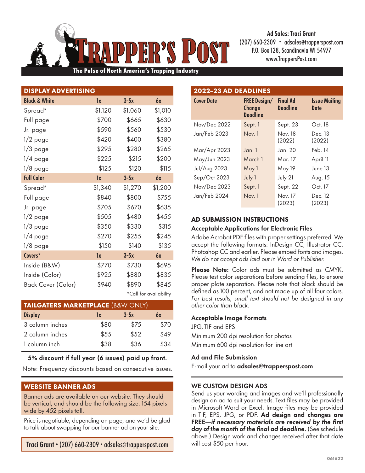(207) 660-2309 • adsales@trapperspost.com P.O. Box 128, Scandinavia WI 54977 www.TrappersPost.com

Pulse of North America's Trapping Industry

| <b>DISPLAY ADVERTISING</b> |         |         |           |  |  |
|----------------------------|---------|---------|-----------|--|--|
| <b>Black &amp; White</b>   | 1x      | $3-5x$  | 6x        |  |  |
| Spread*                    | \$1,120 | \$1,060 | \$1,010   |  |  |
| Full page                  | \$700   | \$665   | \$630     |  |  |
| Jr. page                   | \$590   | \$560   | \$530     |  |  |
| $1/2$ page                 | \$420   | \$400   | \$380     |  |  |
| $1/3$ page                 | \$295   | \$280   | \$265     |  |  |
| $1/4$ page                 | \$225   | \$215   | \$200     |  |  |
| $1/8$ page                 | \$125   | \$120   | \$115     |  |  |
| <b>Full Color</b>          | 1x      | $3-5x$  | <b>6x</b> |  |  |
| Spread*                    | \$1,340 | \$1,270 | \$1,200   |  |  |
| Full page                  | \$840   | \$800   | \$755     |  |  |
| Jr. page                   | \$705   | \$670   | \$635     |  |  |
| $1/2$ page                 | \$505   | \$480   | \$455     |  |  |
| $1/3$ page                 | \$350   | \$330   | \$315     |  |  |
| 1/4 page                   | \$270   | \$255   | \$245     |  |  |
| $1/8$ page                 | \$150   | \$140   | \$135     |  |  |
| Covers*                    | 1x      | $3-5x$  | 6x        |  |  |
| Inside (B&W)               | \$770   | \$730   | \$695     |  |  |
| Inside (Color)             | \$925   | \$880   | \$835     |  |  |
| Back Cover (Color)         | \$940   | \$890   | \$845     |  |  |

\*Call for availability

| <b>TAILGATERS MARKETPLACE (B&amp;W ONLY)</b> |      |        |      |  |  |
|----------------------------------------------|------|--------|------|--|--|
| <b>Display</b>                               | 1x   | $3-5x$ | 6x   |  |  |
| 3 column inches                              | \$80 | \$75   | \$70 |  |  |
| 2 column inches                              | \$55 | \$52   | \$49 |  |  |
| 1 column inch                                | \$38 | \$36   | \$34 |  |  |

5% discount if full year (6 issues) paid up front.

Note: Frequency discounts based on consecutive issues.

# WEBSITE BANNER ADS

Banner ads are available on our website. They should be vertical, and should be the following size: 154 pixels wide by 452 pixels tall.

Price is negotiable, depending on page, and we'd be glad to talk about swapping for our banner ad on your site.

Traci Grant • (207) 660-2309 • adsales@trapperspost.com

| 2022-23 AD DEADLINES |                                                         |                                    |                              |  |  |  |
|----------------------|---------------------------------------------------------|------------------------------------|------------------------------|--|--|--|
| <b>Cover Date</b>    | <b>FREE Design/</b><br><b>Change</b><br><b>Deadline</b> | <b>Final Ad</b><br><b>Deadline</b> | <b>Issue Mailing</b><br>Date |  |  |  |
| Nov/Dec 2022         | Sept. 1                                                 | Sept. 23                           | Oct. 18                      |  |  |  |
| Jan/Feb 2023         | Now.1                                                   | Nov. 18<br>(2022)                  | Dec. 13<br>(2022)            |  |  |  |
| Mar/Apr 2023         | Jan.1                                                   | Jan. 20                            | Feb. 14                      |  |  |  |
| May/Jun 2023         | March 1                                                 | Mar. 17                            | April 11                     |  |  |  |
| <b>Jul/Aug 2023</b>  | May 1                                                   | May 19                             | June 13                      |  |  |  |
| Sep/Oct 2023         | July 1                                                  | July 21                            | Aug. 15                      |  |  |  |
| Nov/Dec 2023         | Sept. 1                                                 | Sept. 22                           | Oct. 17                      |  |  |  |
| Jan/Feb 2024         | Nov. 1                                                  | Nov. 17<br>(2023)                  | Dec. 12<br>(2023)            |  |  |  |

Ad Sales: Traci Grant

# AD SUBMISSION INSTRUCTIONS

### Acceptable Applications for Electronic Files

Adobe Acrobat PDF files with proper settings preferred. We accept the following formats: InDesign CC, Illustrator CC, Photoshop CC and earlier. Please embed fonts and images. *We do not accept ads laid out in Word or Publisher.*

Please Note: Color ads must be submitted as CMYK. Please test color separations before sending files, to ensure proper plate separation. Please note that black should be defined as 100 percent, and not made up of all four colors. *For best results, small text should not be designed in any other color than black.*

# Acceptable Image Formats

JPG, TIF and EPS Minimum 200 dpi resolution for photos Minimum 600 dpi resolution for line art

### Ad and File Submission

E-mail your ad to adsales@trapperspost.com

# WE CUSTOM DESIGN ADS

Send us your wording and images and we'll professionally design an ad to suit your needs. Text files may be provided in Microsoft Word or Excel. Image files may be provided in TIF, EPS, JPG, or PDF. Ad design and changes are FREE—*if necessary materials are received by the first day of the month of the final ad deadline.* (See schedule above.) Design work and changes received after that date will cost \$50 per hour.